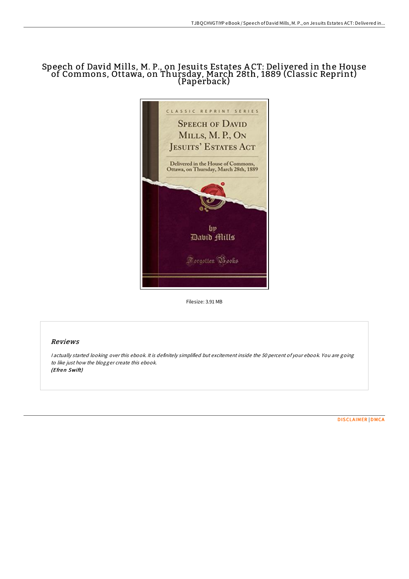# Speech of David Mills, M. P., on Jesuits Estates A CT: Delivered in the House of Commons, Ottawa, on Thursday, March 28th, 1889 (Classic Reprint) (Paperback)



Filesize: 3.91 MB

## Reviews

<sup>I</sup> actually started looking over this ebook. It is definitely simplified but excitement inside the 50 percent of your ebook. You are going to like just how the blogger create this ebook. (Efren Swift)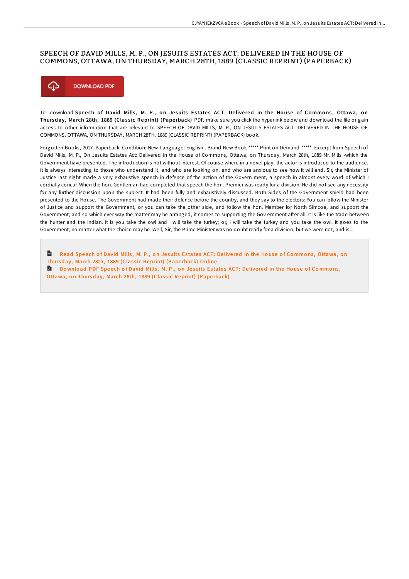#### SPEECH OF DAVID MILLS, M. P., ON JESUITS ESTATES ACT: DELIVERED IN THE HOUSE OF COMMONS, OTTAWA, ON THURSDAY, MARCH 28TH, 1889 (CLASSIC REPRINT) (PAPERBACK)



To download Speech of David Mills, M. P., on Jesuits Estates ACT: Delivered in the House of Commons, Ottawa, on Thursday, March 28th, 1889 (Classic Reprint) (Paperback) PDF, make sure you click the hyperlink below and download the file or gain access to other information that are relevant to SPEECH OF DAVID MILLS, M. P., ON JESUITS ESTATES ACT: DELIVERED IN THE HOUSE OF COMMONS, OTTAWA, ON THURSDAY, MARCH 28TH, 1889 (CLASSIC REPRINT) (PAPERBACK) book.

Forgotten Books, 2017. Paperback. Condition: New. Language: English . Brand New Book \*\*\*\*\* Print on Demand \*\*\*\*\*. Excerpt from Speech of David Mills, M. P., On Jesuits Estates Act: Delivered in the House of Commons, Ottawa, on Thursday, March 28th, 1889 Mr. Mills -which the Government have presented. The introduction is not without interest. Of course when, in a novel play, the actor is introduced to the audience, it is always interesting to those who understand it, and who are looking on, and who are anxious to see how it will end. Sir, the Minister of Justice last night made a very exhaustive speech in defence of the action of the Govern ment, a speech in almost every word of which I cordially concur. When the hon. Gentleman had completed that speech the hon. Premier was ready for a division. He did not see any necessity for any further discussion upon the subject. It had been fully and exhaustively discussed. Both Sides of the Government shield had been presented to the House. The Government had made their defence before the country, and they say to the electors: You can follow the Minister of Justice and support the Government, or you can take the other side, and follow the hon. Member for North Simcoe, and support the Government; and so which ever way the matter may be arranged, it comes to supporting the Gov ernment after all. It is like the trade between the hunter and the Indian. It is you take the owl and I will take the turkey; or, I will take the turkey and you take the owl. It goes to the Government, no matter what the choice may be. Well, Sir, the Prime Minister was no doubt ready for a division, but we were not, and is...

 $\mathbf{m}$ Read Speech of David Mills, M. P., on Jesuits Estates ACT: Delivered in the House of Commons, Ottawa, on Thursday, March 28th, 1889 (Classic [Reprint\)](http://almighty24.tech/speech-of-david-mills-m-p-on-jesuits-estates-act.html) (Paperback) Online Download PDF Speech of David Mills, M. P., on Jesuits Estates ACT: Delivered in the House of Commons,

Ottawa, on Thursday, March 28th, 1889 (Classic [Reprint\)](http://almighty24.tech/speech-of-david-mills-m-p-on-jesuits-estates-act.html) (Paperback)